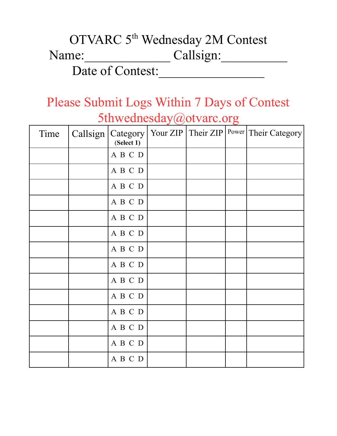## OTVARC 5<sup>th</sup> Wednesday 2M Contest Name: Callsign:

Date of Contest:

## Please Submit Logs Within 7 Days of Contest 5thwednesday@otvarc.org

| Time | (Select 1) |  | Callsign   Category   Your ZIP   Their ZIP   Power   Their Category |
|------|------------|--|---------------------------------------------------------------------|
|      | A B C D    |  |                                                                     |
|      | ABCD       |  |                                                                     |
|      | A B C D    |  |                                                                     |
|      | ABCD       |  |                                                                     |
|      | A B C D    |  |                                                                     |
|      | A B C D    |  |                                                                     |
|      | A B C D    |  |                                                                     |
|      | ABCD       |  |                                                                     |
|      | ABCD       |  |                                                                     |
|      | A B C D    |  |                                                                     |
|      | ABCD       |  |                                                                     |
|      | A B C D    |  |                                                                     |
|      | ABCD       |  |                                                                     |
|      | A B C D    |  |                                                                     |